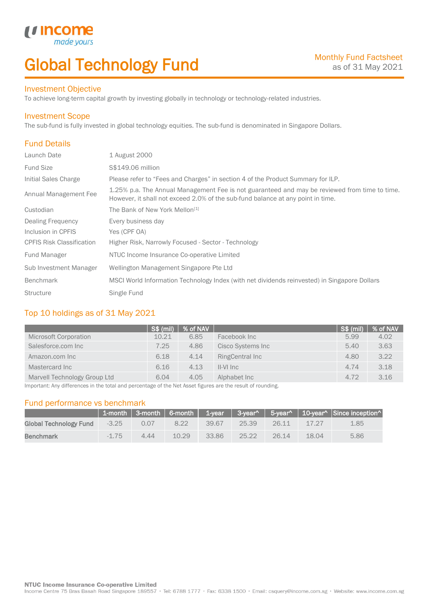# Global Technology Fund

### Investment Objective

made<sub>1</sub>

*u* incom

To achieve long-term capital growth by investing globally in technology or technology-related industries.

### Investment Scope

The sub-fund is fully invested in global technology equities. The sub-fund is denominated in Singapore Dollars.

### Fund Details

I

| Launch Date                      | 1 August 2000                                                                                                                                                                    |
|----------------------------------|----------------------------------------------------------------------------------------------------------------------------------------------------------------------------------|
| <b>Fund Size</b>                 | S\$149.06 million                                                                                                                                                                |
| Initial Sales Charge             | Please refer to "Fees and Charges" in section 4 of the Product Summary for ILP.                                                                                                  |
| Annual Management Fee            | 1.25% p.a. The Annual Management Fee is not guaranteed and may be reviewed from time to time.<br>However, it shall not exceed 2.0% of the sub-fund balance at any point in time. |
| Custodian                        | The Bank of New York Mellon <sup>[1]</sup>                                                                                                                                       |
| <b>Dealing Frequency</b>         | Every business day                                                                                                                                                               |
| Inclusion in CPFIS               | Yes (CPF OA)                                                                                                                                                                     |
| <b>CPFIS Risk Classification</b> | Higher Risk, Narrowly Focused - Sector - Technology                                                                                                                              |
| <b>Fund Manager</b>              | NTUC Income Insurance Co-operative Limited                                                                                                                                       |
| Sub Investment Manager           | Wellington Management Singapore Pte Ltd                                                                                                                                          |
| <b>Benchmark</b>                 | MSCI World Information Technology Index (with net dividends reinvested) in Singapore Dollars                                                                                     |
| <b>Structure</b>                 | Single Fund                                                                                                                                                                      |

### Top 10 holdings as of 31 May 2021

|                              | <b>S\$ (mil)</b> | % of NAV |                   | SS(mil) | % of NAV |
|------------------------------|------------------|----------|-------------------|---------|----------|
| Microsoft Corporation        | 10.21            | 6.85     | Facebook Inc      | 5.99    | 4.02     |
| Salesforce.com Inc           | 7.25             | 4.86     | Cisco Systems Inc | 5.40    | 3.63     |
| Amazon.com Inc               | 6.18             | 4.14     | RingCentral Inc   | 4.80    | 3.22     |
| Mastercard Inc               | 6.16             | 4.13     | II-VI Inc         | 4.74    | 3.18     |
| Marvell Technology Group Ltd | 6.04             | 4.05     | Alphabet Inc      | 4.72    | 3.16     |

Important: Any differences in the total and percentage of the Net Asset figures are the result of rounding.

### Fund performance vs benchmark

|                        |         |      |       |       |       |       |       | 1-month   3-month   6-month   1-year   3-year^   5-year^   10-year^   Since inception^ |
|------------------------|---------|------|-------|-------|-------|-------|-------|----------------------------------------------------------------------------------------|
| Global Technology Fund | $-3.25$ | 0.07 | 8.22  | 39.67 | 25.39 | 26.11 | 17.27 | 1.85                                                                                   |
| <b>Benchmark</b>       | $-1.75$ | 4.44 | 10.29 | 33.86 | 25.22 | 26.14 | 18.04 | 5.86                                                                                   |